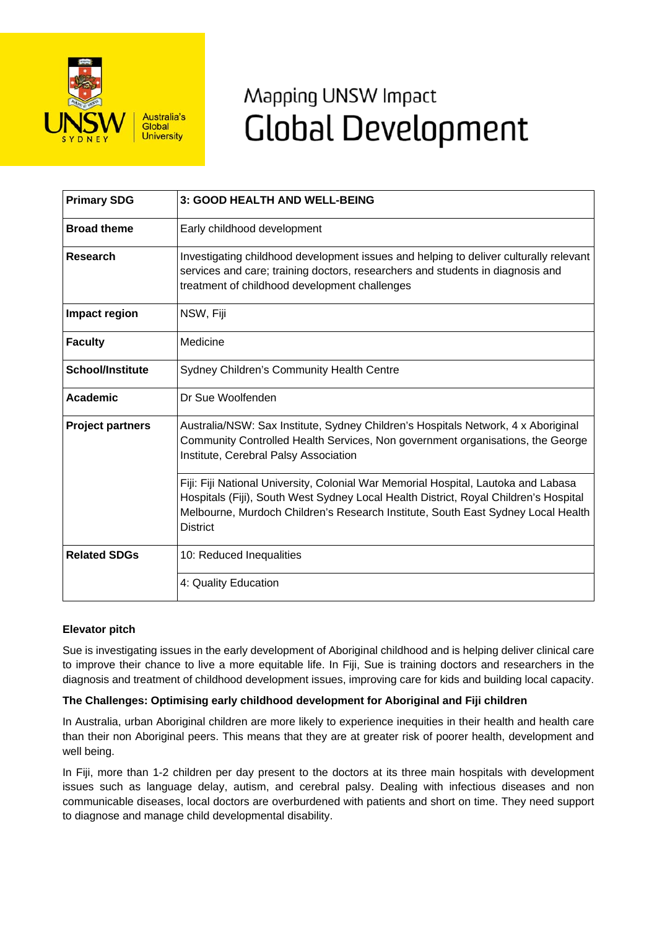

# Mapping UNSW Impact **Global Development**

| <b>Primary SDG</b>      | <b>3: GOOD HEALTH AND WELL-BEING</b>                                                                                                                                                                                                                                              |
|-------------------------|-----------------------------------------------------------------------------------------------------------------------------------------------------------------------------------------------------------------------------------------------------------------------------------|
| <b>Broad theme</b>      | Early childhood development                                                                                                                                                                                                                                                       |
| <b>Research</b>         | Investigating childhood development issues and helping to deliver culturally relevant<br>services and care; training doctors, researchers and students in diagnosis and<br>treatment of childhood development challenges                                                          |
| Impact region           | NSW, Fiji                                                                                                                                                                                                                                                                         |
| <b>Faculty</b>          | Medicine                                                                                                                                                                                                                                                                          |
| <b>School/Institute</b> | <b>Sydney Children's Community Health Centre</b>                                                                                                                                                                                                                                  |
| Academic                | Dr Sue Woolfenden                                                                                                                                                                                                                                                                 |
| <b>Project partners</b> | Australia/NSW: Sax Institute, Sydney Children's Hospitals Network, 4 x Aboriginal<br>Community Controlled Health Services, Non government organisations, the George<br>Institute, Cerebral Palsy Association                                                                      |
|                         | Fiji: Fiji National University, Colonial War Memorial Hospital, Lautoka and Labasa<br>Hospitals (Fiji), South West Sydney Local Health District, Royal Children's Hospital<br>Melbourne, Murdoch Children's Research Institute, South East Sydney Local Health<br><b>District</b> |
| <b>Related SDGs</b>     | 10: Reduced Inequalities                                                                                                                                                                                                                                                          |
|                         | 4: Quality Education                                                                                                                                                                                                                                                              |

# **Elevator pitch**

Sue is investigating issues in the early development of Aboriginal childhood and is helping deliver clinical care to improve their chance to live a more equitable life. In Fiji, Sue is training doctors and researchers in the diagnosis and treatment of childhood development issues, improving care for kids and building local capacity.

# **The Challenges: Optimising early childhood development for Aboriginal and Fiji children**

In Australia, urban Aboriginal children are more likely to experience inequities in their health and health care than their non Aboriginal peers. This means that they are at greater risk of poorer health, development and well being.

In Fiji, more than 1-2 children per day present to the doctors at its three main hospitals with development issues such as language delay, autism, and cerebral palsy. Dealing with infectious diseases and non communicable diseases, local doctors are overburdened with patients and short on time. They need support to diagnose and manage child developmental disability.